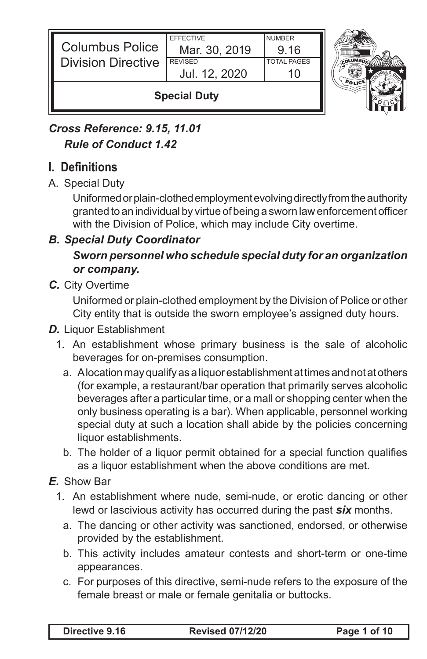| Jul. 12, 2020<br><b>Special Duty</b> |                                   |                       |  |
|--------------------------------------|-----------------------------------|-----------------------|--|
| <b>Division Directive</b>            | <b>REVISED</b>                    | <b>TOTAL PAGES</b>    |  |
| <b>Columbus Police</b>               | <b>EFFECTIVE</b><br>Mar. 30, 2019 | <b>NUMBER</b><br>9.16 |  |

# *Cross Reference: 9.15, 11.01 Rule of Conduct 1.42*

# **I. Definitions**

A. Special Duty

Uniformed or plain-clothed employment evolving directly from the authority granted to an individual by virtue of being a sworn law enforcement officer with the Division of Police, which may include City overtime.

### *B. Special Duty Coordinator*

## *Sworn personnel who schedule special duty for an organization or company.*

*C.* City Overtime

Uniformed or plain-clothed employment by the Division of Police or other City entity that is outside the sworn employee's assigned duty hours.

#### *D.* Liquor Establishment

- 1. An establishment whose primary business is the sale of alcoholic beverages for on-premises consumption.
	- a. A location may qualify as a liquor establishment at times and not at others (for example, a restaurant/bar operation that primarily serves alcoholic beverages after a particular time, or a mall or shopping center when the only business operating is a bar). When applicable, personnel working special duty at such a location shall abide by the policies concerning liquor establishments.
	- b. The holder of a liquor permit obtained for a special function qualifies as a liquor establishment when the above conditions are met.
- *E.* Show Bar
	- 1. An establishment where nude, semi-nude, or erotic dancing or other lewd or lascivious activity has occurred during the past *six* months.
		- a. The dancing or other activity was sanctioned, endorsed, or otherwise provided by the establishment.
		- b. This activity includes amateur contests and short-term or one-time appearances.
		- c. For purposes of this directive, semi-nude refers to the exposure of the female breast or male or female genitalia or buttocks.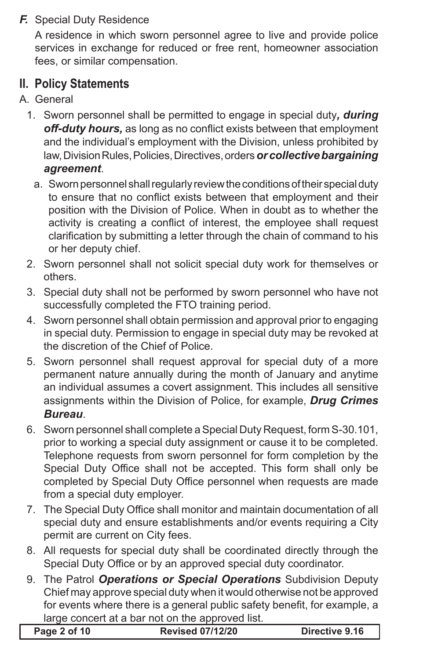### *F.* Special Duty Residence

A residence in which sworn personnel agree to live and provide police services in exchange for reduced or free rent, homeowner association fees, or similar compensation.

# **II. Policy Statements**

- A. General
	- 1. Sworn personnel shall be permitted to engage in special duty*, during off-duty hours,* as long as no conflict exists between that employment and the individual's employment with the Division, unless prohibited by law, Division Rules, Policies, Directives, orders *or collective bargaining agreement*.
		- a. Sworn personnel shall regularly review the conditions of their special duty to ensure that no conflict exists between that employment and their position with the Division of Police. When in doubt as to whether the activity is creating a conflict of interest, the employee shall request clarification by submitting a letter through the chain of command to his or her deputy chief.
	- 2. Sworn personnel shall not solicit special duty work for themselves or others.
	- 3. Special duty shall not be performed by sworn personnel who have not successfully completed the FTO training period.
	- 4. Sworn personnel shall obtain permission and approval prior to engaging in special duty. Permission to engage in special duty may be revoked at the discretion of the Chief of Police.
	- 5. Sworn personnel shall request approval for special duty of a more permanent nature annually during the month of January and anytime an individual assumes a covert assignment. This includes all sensitive assignments within the Division of Police, for example, *Drug Crimes Bureau*.
	- 6. Sworn personnel shall complete a Special Duty Request, form S-30.101, prior to working a special duty assignment or cause it to be completed. Telephone requests from sworn personnel for form completion by the Special Duty Office shall not be accepted. This form shall only be completed by Special Duty Office personnel when requests are made from a special duty employer.
	- 7. The Special Duty Office shall monitor and maintain documentation of all special duty and ensure establishments and/or events requiring a City permit are current on City fees.
	- 8. All requests for special duty shall be coordinated directly through the Special Duty Office or by an approved special duty coordinator.
	- 9. The Patrol *Operations or Special Operations* Subdivision Deputy Chief may approve special duty when it would otherwise not be approved for events where there is a general public safety benefit, for example, a large concert at a bar not on the approved list.

| <b>Revised 07/12/20</b><br>Page 2 of 10<br>Directive 9.16 |
|-----------------------------------------------------------|
|-----------------------------------------------------------|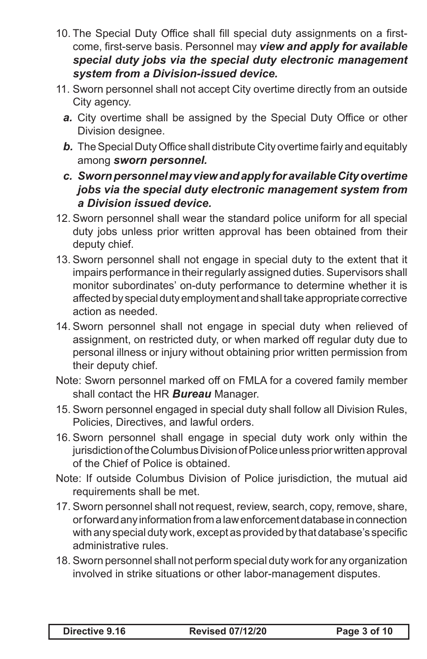- 10. The Special Duty Office shall fill special duty assignments on a firstcome, first-serve basis. Personnel may *view and apply for available special duty jobs via the special duty electronic management system from a Division-issued device.*
- 11. Sworn personnel shall not accept City overtime directly from an outside City agency.
	- *a.* City overtime shall be assigned by the Special Duty Office or other Division designee.
	- *b*. The Special Duty Office shall distribute City overtime fairly and equitably among *sworn personnel.*
	- *c. Sworn personnel may view and apply for available City overtime jobs via the special duty electronic management system from a Division issued device.*
- 12. Sworn personnel shall wear the standard police uniform for all special duty jobs unless prior written approval has been obtained from their deputy chief.
- 13. Sworn personnel shall not engage in special duty to the extent that it impairs performance in their regularly assigned duties. Supervisors shall monitor subordinates' on-duty performance to determine whether it is affected by special duty employment and shall take appropriate corrective action as needed.
- 14. Sworn personnel shall not engage in special duty when relieved of assignment, on restricted duty, or when marked off regular duty due to personal illness or injury without obtaining prior written permission from their deputy chief.
- Note: Sworn personnel marked off on FMLA for a covered family member shall contact the HR *Bureau* Manager.
- 15. Sworn personnel engaged in special duty shall follow all Division Rules, Policies, Directives, and lawful orders.
- 16. Sworn personnel shall engage in special duty work only within the jurisdiction of the Columbus Division of Police unless prior written approval of the Chief of Police is obtained.
- Note: If outside Columbus Division of Police jurisdiction, the mutual aid requirements shall be met.
- 17. Sworn personnel shall not request, review, search, copy, remove, share, or forward any information from a law enforcement database in connection with any special duty work, except as provided by that database's specific administrative rules.
- 18. Sworn personnel shall not perform special duty work for any organization involved in strike situations or other labor-management disputes.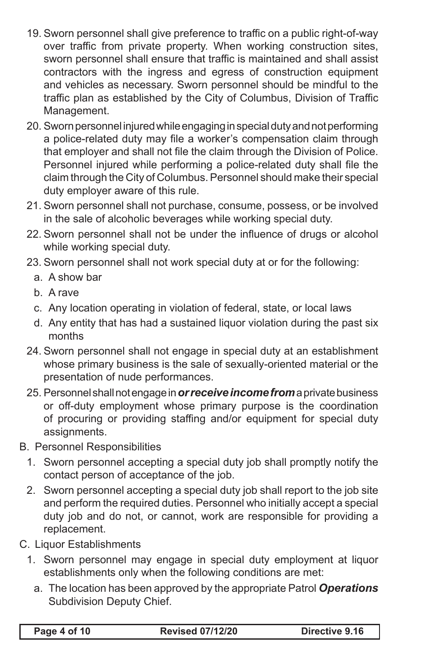- 19. Sworn personnel shall give preference to traffic on a public right-of-way over traffic from private property. When working construction sites, sworn personnel shall ensure that traffic is maintained and shall assist contractors with the ingress and egress of construction equipment and vehicles as necessary. Sworn personnel should be mindful to the traffic plan as established by the City of Columbus, Division of Traffic Management.
- 20. Sworn personnel injured while engaging in special duty and not performing a police-related duty may file a worker's compensation claim through that employer and shall not file the claim through the Division of Police. Personnel injured while performing a police-related duty shall file the claim through the City of Columbus. Personnel should make their special duty employer aware of this rule.
- 21. Sworn personnel shall not purchase, consume, possess, or be involved in the sale of alcoholic beverages while working special duty.
- 22. Sworn personnel shall not be under the influence of drugs or alcohol while working special duty.
- 23. Sworn personnel shall not work special duty at or for the following:
	- a. A show bar
	- b. A rave
	- c. Any location operating in violation of federal, state, or local laws
	- d. Any entity that has had a sustained liquor violation during the past six months
- 24. Sworn personnel shall not engage in special duty at an establishment whose primary business is the sale of sexually-oriented material or the presentation of nude performances.
- 25. Personnel shall not engage in *or receive income from* a private business or off-duty employment whose primary purpose is the coordination of procuring or providing staffing and/or equipment for special duty assignments.
- B. Personnel Responsibilities
	- 1. Sworn personnel accepting a special duty job shall promptly notify the contact person of acceptance of the job.
	- 2. Sworn personnel accepting a special duty job shall report to the job site and perform the required duties. Personnel who initially accept a special duty job and do not, or cannot, work are responsible for providing a replacement.
- C. Liquor Establishments
	- 1. Sworn personnel may engage in special duty employment at liquor establishments only when the following conditions are met:
		- a. The location has been approved by the appropriate Patrol *Operations*  Subdivision Deputy Chief.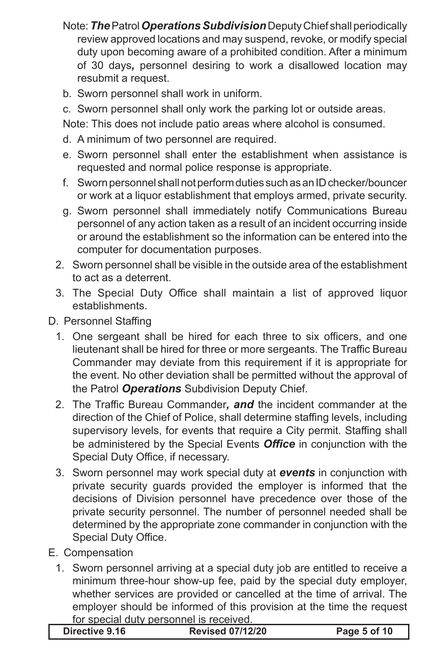- Note: *The* Patrol *Operations Subdivision* Deputy Chief shall periodically review approved locations and may suspend, revoke, or modify special duty upon becoming aware of a prohibited condition. After a minimum of 30 days*,* personnel desiring to work a disallowed location may resubmit a request.
- b. Sworn personnel shall work in uniform.
- c. Sworn personnel shall only work the parking lot or outside areas.

Note: This does not include patio areas where alcohol is consumed.

- d. A minimum of two personnel are required.
- e. Sworn personnel shall enter the establishment when assistance is requested and normal police response is appropriate.
- f. Sworn personnel shall not perform duties such as an ID checker/bouncer or work at a liquor establishment that employs armed, private security.
- g. Sworn personnel shall immediately notify Communications Bureau personnel of any action taken as a result of an incident occurring inside or around the establishment so the information can be entered into the computer for documentation purposes.
- 2. Sworn personnel shall be visible in the outside area of the establishment to act as a deterrent.
- 3. The Special Duty Office shall maintain a list of approved liquor establishments.
- D. Personnel Staffing
	- 1. One sergeant shall be hired for each three to six officers, and one lieutenant shall be hired for three or more sergeants. The Traffic Bureau Commander may deviate from this requirement if it is appropriate for the event. No other deviation shall be permitted without the approval of the Patrol *Operations* Subdivision Deputy Chief.
	- 2. The Traffic Bureau Commander*, and* the incident commander at the direction of the Chief of Police, shall determine staffing levels, including supervisory levels, for events that require a City permit. Staffing shall be administered by the Special Events *Office* in conjunction with the Special Duty Office, if necessary.
	- 3. Sworn personnel may work special duty at *events* in conjunction with private security guards provided the employer is informed that the decisions of Division personnel have precedence over those of the private security personnel. The number of personnel needed shall be determined by the appropriate zone commander in conjunction with the Special Duty Office.
- E. Compensation
	- 1. Sworn personnel arriving at a special duty job are entitled to receive a minimum three-hour show-up fee, paid by the special duty employer, whether services are provided or cancelled at the time of arrival. The employer should be informed of this provision at the time the request for special duty personnel is received.

| Directive 9.16 | <b>Revised 07/12/20</b> | Page 5 of 10 |
|----------------|-------------------------|--------------|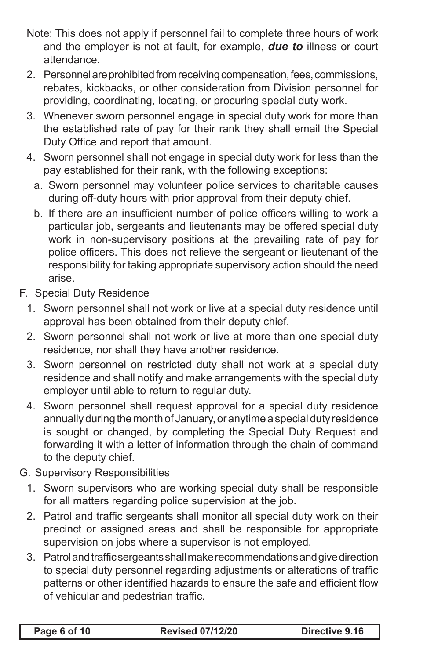- Note: This does not apply if personnel fail to complete three hours of work and the employer is not at fault, for example, *due to* illness or court attendance.
- 2. Personnel are prohibited from receiving compensation, fees, commissions, rebates, kickbacks, or other consideration from Division personnel for providing, coordinating, locating, or procuring special duty work.
- 3. Whenever sworn personnel engage in special duty work for more than the established rate of pay for their rank they shall email the Special Duty Office and report that amount.
- 4. Sworn personnel shall not engage in special duty work for less than the pay established for their rank, with the following exceptions:
	- a. Sworn personnel may volunteer police services to charitable causes during off-duty hours with prior approval from their deputy chief.
	- b. If there are an insufficient number of police officers willing to work a particular job, sergeants and lieutenants may be offered special duty work in non-supervisory positions at the prevailing rate of pay for police officers. This does not relieve the sergeant or lieutenant of the responsibility for taking appropriate supervisory action should the need arise.
- F. Special Duty Residence
	- 1. Sworn personnel shall not work or live at a special duty residence until approval has been obtained from their deputy chief.
	- 2. Sworn personnel shall not work or live at more than one special duty residence, nor shall they have another residence.
	- 3. Sworn personnel on restricted duty shall not work at a special duty residence and shall notify and make arrangements with the special duty employer until able to return to regular duty.
	- 4. Sworn personnel shall request approval for a special duty residence annually during the month of January, or anytime a special duty residence is sought or changed, by completing the Special Duty Request and forwarding it with a letter of information through the chain of command to the deputy chief.
- G. Supervisory Responsibilities
	- 1. Sworn supervisors who are working special duty shall be responsible for all matters regarding police supervision at the job.
	- 2. Patrol and traffic sergeants shall monitor all special duty work on their precinct or assigned areas and shall be responsible for appropriate supervision on jobs where a supervisor is not employed.
	- 3. Patrol and traffic sergeants shall make recommendations and give direction to special duty personnel regarding adjustments or alterations of traffic patterns or other identified hazards to ensure the safe and efficient flow of vehicular and pedestrian traffic.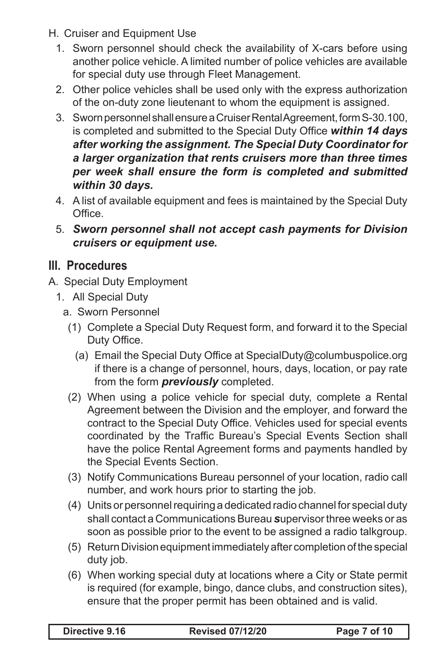- H. Cruiser and Equipment Use
	- 1. Sworn personnel should check the availability of X-cars before using another police vehicle. A limited number of police vehicles are available for special duty use through Fleet Management.
	- 2. Other police vehicles shall be used only with the express authorization of the on-duty zone lieutenant to whom the equipment is assigned.
	- 3. Sworn personnel shall ensure a Cruiser Rental Agreement, form S-30.100, is completed and submitted to the Special Duty Office *within 14 days after working the assignment. The Special Duty Coordinator for a larger organization that rents cruisers more than three times per week shall ensure the form is completed and submitted within 30 days.*
	- 4. A list of available equipment and fees is maintained by the Special Duty Office.
	- 5. *Sworn personnel shall not accept cash payments for Division cruisers or equipment use.*

# **III. Procedures**

- A. Special Duty Employment
	- 1. All Special Duty
		- a. Sworn Personnel
			- (1) Complete a Special Duty Request form, and forward it to the Special Duty Office.
				- (a) Email the Special Duty Office at SpecialDuty@columbuspolice.org if there is a change of personnel, hours, days, location, or pay rate from the form *previously* completed.
			- (2) When using a police vehicle for special duty, complete a Rental Agreement between the Division and the employer, and forward the contract to the Special Duty Office. Vehicles used for special events coordinated by the Traffic Bureau's Special Events Section shall have the police Rental Agreement forms and payments handled by the Special Events Section.
			- (3) Notify Communications Bureau personnel of your location, radio call number, and work hours prior to starting the job.
			- (4) Units or personnel requiring a dedicated radio channel for special duty shall contact a Communications Bureau *s*upervisor three weeks or as soon as possible prior to the event to be assigned a radio talkgroup.
			- (5) Return Division equipment immediately after completion of the special duty job.
			- (6) When working special duty at locations where a City or State permit is required (for example, bingo, dance clubs, and construction sites), ensure that the proper permit has been obtained and is valid.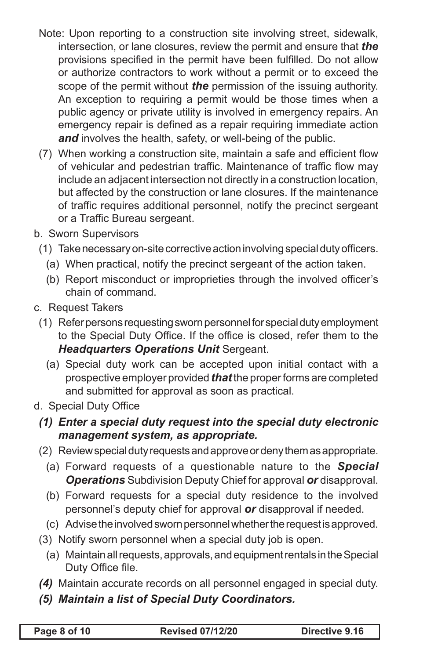- Note: Upon reporting to a construction site involving street, sidewalk, intersection, or lane closures, review the permit and ensure that *the*  provisions specified in the permit have been fulfilled. Do not allow or authorize contractors to work without a permit or to exceed the scope of the permit without *the* permission of the issuing authority. An exception to requiring a permit would be those times when a public agency or private utility is involved in emergency repairs. An emergency repair is defined as a repair requiring immediate action and involves the health, safety, or well-being of the public.
- (7) When working a construction site, maintain a safe and efficient flow of vehicular and pedestrian traffic. Maintenance of traffic flow may include an adjacent intersection not directly in a construction location, but affected by the construction or lane closures. If the maintenance of traffic requires additional personnel, notify the precinct sergeant or a Traffic Bureau sergeant.
- b. Sworn Supervisors
- (1) Take necessary on-site corrective action involving special duty officers.
	- (a) When practical, notify the precinct sergeant of the action taken.
	- (b) Report misconduct or improprieties through the involved officer's chain of command.
- c. Request Takers
	- (1) Refer persons requesting sworn personnel for special duty employment to the Special Duty Office. If the office is closed, refer them to the *Headquarters Operations Unit* Sergeant.
		- (a) Special duty work can be accepted upon initial contact with a prospective employer provided *that* the proper forms are completed and submitted for approval as soon as practical.
- d. Special Duty Office
	- *(1) Enter a special duty request into the special duty electronic management system, as appropriate.*
	- (2) Review special duty requests and approve or deny them as appropriate.
		- (a) Forward requests of a questionable nature to the *Special Operations* Subdivision Deputy Chief for approval *or* disapproval.
		- (b) Forward requests for a special duty residence to the involved personnel's deputy chief for approval *or* disapproval if needed.
		- (c) Advise the involved sworn personnel whether the request is approved.
	- (3) Notify sworn personnel when a special duty job is open.
		- (a) Maintain all requests, approvals, and equipment rentals in the Special Duty Office file.
	- *(4)* Maintain accurate records on all personnel engaged in special duty.
	- *(5) Maintain a list of Special Duty Coordinators.*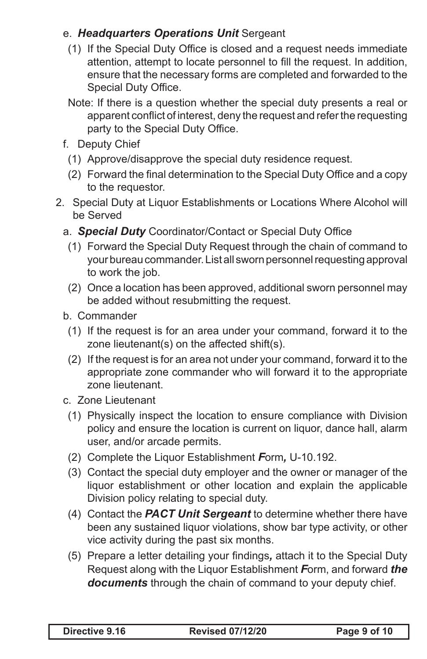### e. *Headquarters Operations Unit* Sergeant

- (1) If the Special Duty Office is closed and a request needs immediate attention, attempt to locate personnel to fill the request. In addition, ensure that the necessary forms are completed and forwarded to the Special Duty Office.
- Note: If there is a question whether the special duty presents a real or apparent conflict of interest, deny the request and refer the requesting party to the Special Duty Office.
- f. Deputy Chief
	- (1) Approve/disapprove the special duty residence request.
	- (2) Forward the final determination to the Special Duty Office and a copy to the requestor.
- 2. Special Duty at Liquor Establishments or Locations Where Alcohol will be Served
	- a. *Special Duty* Coordinator/Contact or Special Duty Office
	- (1) Forward the Special Duty Request through the chain of command to your bureau commander. List all sworn personnel requesting approval to work the job.
	- (2) Once a location has been approved, additional sworn personnel may be added without resubmitting the request.
	- b. Commander
		- (1) If the request is for an area under your command, forward it to the zone lieutenant(s) on the affected shift(s).
		- (2) If the request is for an area not under your command, forward it to the appropriate zone commander who will forward it to the appropriate zone lieutenant.
	- c. Zone Lieutenant
	- (1) Physically inspect the location to ensure compliance with Division policy and ensure the location is current on liquor, dance hall, alarm user, and/or arcade permits.
	- (2) Complete the Liquor Establishment *F*orm*,* U-10.192.
	- (3) Contact the special duty employer and the owner or manager of the liquor establishment or other location and explain the applicable Division policy relating to special duty.
	- (4) Contact the *PACT Unit Sergeant* to determine whether there have been any sustained liquor violations, show bar type activity, or other vice activity during the past six months.
	- (5) Prepare a letter detailing your findings*,* attach it to the Special Duty Request along with the Liquor Establishment *F*orm, and forward *the documents* through the chain of command to your deputy chief.